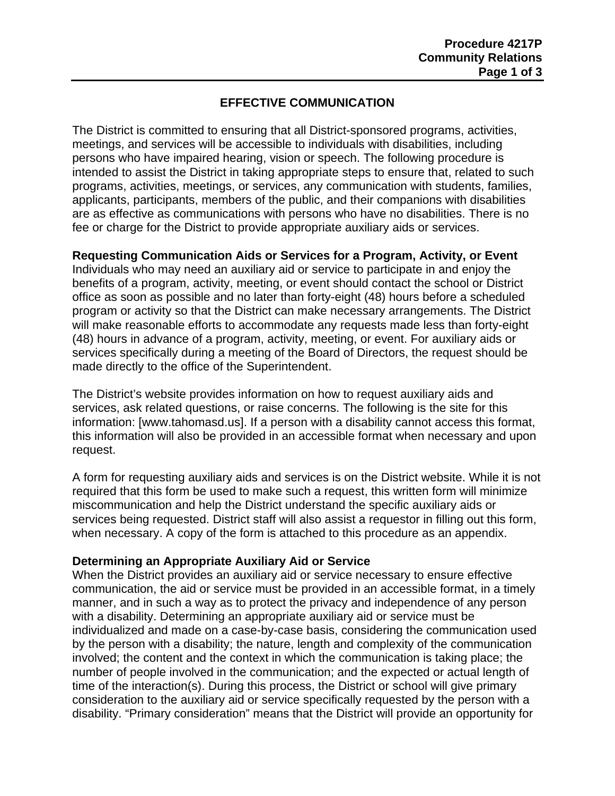# **EFFECTIVE COMMUNICATION**

The District is committed to ensuring that all District-sponsored programs, activities, meetings, and services will be accessible to individuals with disabilities, including persons who have impaired hearing, vision or speech. The following procedure is intended to assist the District in taking appropriate steps to ensure that, related to such programs, activities, meetings, or services, any communication with students, families, applicants, participants, members of the public, and their companions with disabilities are as effective as communications with persons who have no disabilities. There is no fee or charge for the District to provide appropriate auxiliary aids or services.

## **Requesting Communication Aids or Services for a Program, Activity, or Event**

Individuals who may need an auxiliary aid or service to participate in and enjoy the benefits of a program, activity, meeting, or event should contact the school or District office as soon as possible and no later than forty-eight (48) hours before a scheduled program or activity so that the District can make necessary arrangements. The District will make reasonable efforts to accommodate any requests made less than forty-eight (48) hours in advance of a program, activity, meeting, or event. For auxiliary aids or services specifically during a meeting of the Board of Directors, the request should be made directly to the office of the Superintendent.

The District's website provides information on how to request auxiliary aids and services, ask related questions, or raise concerns. The following is the site for this information: [www.tahomasd.us]. If a person with a disability cannot access this format, this information will also be provided in an accessible format when necessary and upon request.

A form for requesting auxiliary aids and services is on the District website. While it is not required that this form be used to make such a request, this written form will minimize miscommunication and help the District understand the specific auxiliary aids or services being requested. District staff will also assist a requestor in filling out this form, when necessary. A copy of the form is attached to this procedure as an appendix.

## **Determining an Appropriate Auxiliary Aid or Service**

When the District provides an auxiliary aid or service necessary to ensure effective communication, the aid or service must be provided in an accessible format, in a timely manner, and in such a way as to protect the privacy and independence of any person with a disability. Determining an appropriate auxiliary aid or service must be individualized and made on a case-by-case basis, considering the communication used by the person with a disability; the nature, length and complexity of the communication involved; the content and the context in which the communication is taking place; the number of people involved in the communication; and the expected or actual length of time of the interaction(s). During this process, the District or school will give primary consideration to the auxiliary aid or service specifically requested by the person with a disability. "Primary consideration" means that the District will provide an opportunity for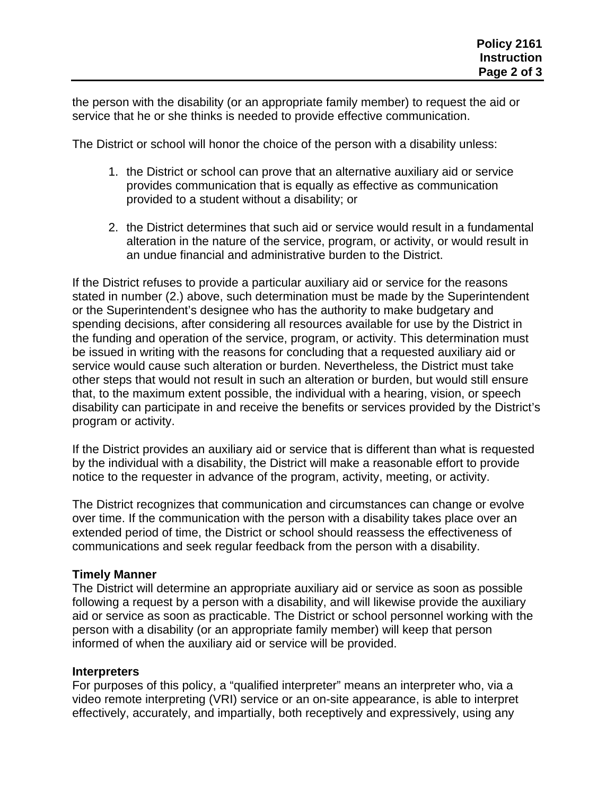the person with the disability (or an appropriate family member) to request the aid or service that he or she thinks is needed to provide effective communication.

The District or school will honor the choice of the person with a disability unless:

- 1. the District or school can prove that an alternative auxiliary aid or service provides communication that is equally as effective as communication provided to a student without a disability; or
- 2. the District determines that such aid or service would result in a fundamental alteration in the nature of the service, program, or activity, or would result in an undue financial and administrative burden to the District.

If the District refuses to provide a particular auxiliary aid or service for the reasons stated in number (2.) above, such determination must be made by the Superintendent or the Superintendent's designee who has the authority to make budgetary and spending decisions, after considering all resources available for use by the District in the funding and operation of the service, program, or activity. This determination must be issued in writing with the reasons for concluding that a requested auxiliary aid or service would cause such alteration or burden. Nevertheless, the District must take other steps that would not result in such an alteration or burden, but would still ensure that, to the maximum extent possible, the individual with a hearing, vision, or speech disability can participate in and receive the benefits or services provided by the District's program or activity.

If the District provides an auxiliary aid or service that is different than what is requested by the individual with a disability, the District will make a reasonable effort to provide notice to the requester in advance of the program, activity, meeting, or activity.

The District recognizes that communication and circumstances can change or evolve over time. If the communication with the person with a disability takes place over an extended period of time, the District or school should reassess the effectiveness of communications and seek regular feedback from the person with a disability.

## **Timely Manner**

The District will determine an appropriate auxiliary aid or service as soon as possible following a request by a person with a disability, and will likewise provide the auxiliary aid or service as soon as practicable. The District or school personnel working with the person with a disability (or an appropriate family member) will keep that person informed of when the auxiliary aid or service will be provided.

### **Interpreters**

For purposes of this policy, a "qualified interpreter" means an interpreter who, via a video remote interpreting (VRI) service or an on-site appearance, is able to interpret effectively, accurately, and impartially, both receptively and expressively, using any